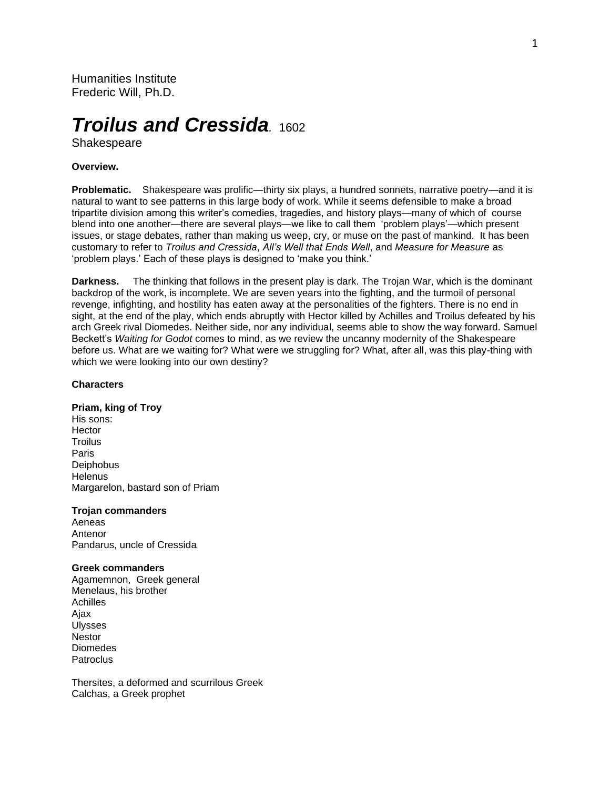Humanities Institute Frederic Will, Ph.D.

# *Troilus and Cressida.* <sup>1602</sup>

Shakespeare

# **Overview.**

**Problematic.** Shakespeare was prolific—thirty six plays, a hundred sonnets, narrative poetry—and it is natural to want to see patterns in this large body of work. While it seems defensible to make a broad tripartite division among this writer's comedies, tragedies, and history plays—many of which of course blend into one another—there are several plays—we like to call them 'problem plays'—which present issues, or stage debates, rather than making us weep, cry, or muse on the past of mankind. It has been customary to refer to *Troilus and Cressida*, *All's Well that Ends Well*, and *Measure for Measure* as 'problem plays.' Each of these plays is designed to 'make you think.'

**Darkness.** The thinking that follows in the present play is dark. The Trojan War, which is the dominant backdrop of the work, is incomplete. We are seven years into the fighting, and the turmoil of personal revenge, infighting, and hostility has eaten away at the personalities of the fighters. There is no end in sight, at the end of the play, which ends abruptly with Hector killed by Achilles and Troilus defeated by his arch Greek rival Diomedes. Neither side, nor any individual, seems able to show the way forward. Samuel Beckett's *Waiting for Godot* comes to mind, as we review the uncanny modernity of the Shakespeare before us. What are we waiting for? What were we struggling for? What, after all, was this play-thing with which we were looking into our own destiny?

# **Characters**

#### **Priam, king of Troy**

His sons: **Hector Troilus** Paris **Deiphobus Helenus** Margarelon, bastard son of Priam

### **Trojan commanders**

Aeneas Antenor Pandarus, uncle of Cressida

#### **Greek commanders**

Agamemnon, Greek general Menelaus, his brother Achilles Ajax Ulysses **Nestor** Diomedes **Patroclus** 

Thersites, a deformed and scurrilous Greek Calchas, a Greek prophet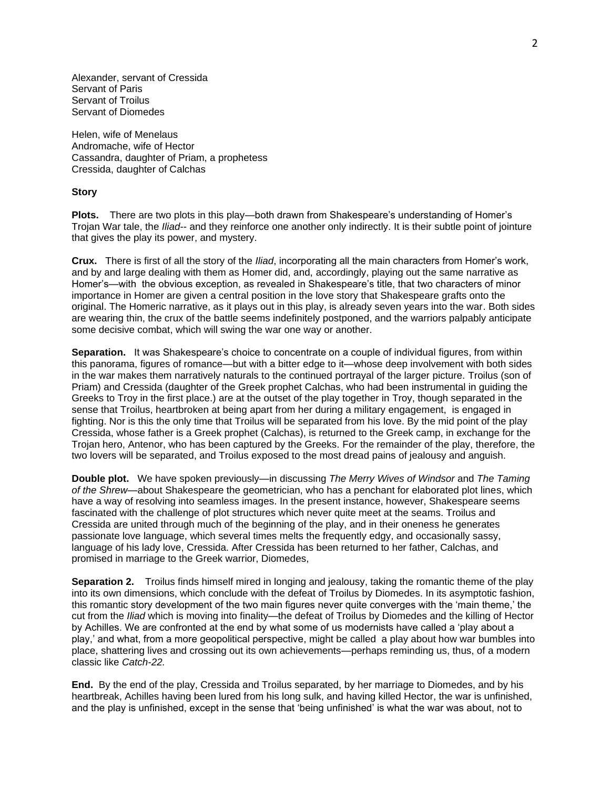Alexander, servant of Cressida Servant of Paris Servant of Troilus Servant of Diomedes

Helen, wife of Menelaus Andromache, wife of Hector Cassandra, daughter of Priam, a prophetess Cressida, daughter of Calchas

# **Story**

**Plots.** There are two plots in this play—both drawn from Shakespeare's understanding of Homer's Trojan War tale, the *Iliad*-- and they reinforce one another only indirectly. It is their subtle point of jointure that gives the play its power, and mystery.

**Crux.** There is first of all the story of the *Iliad*, incorporating all the main characters from Homer's work, and by and large dealing with them as Homer did, and, accordingly, playing out the same narrative as Homer's—with the obvious exception, as revealed in Shakespeare's title, that two characters of minor importance in Homer are given a central position in the love story that Shakespeare grafts onto the original. The Homeric narrative, as it plays out in this play, is already seven years into the war. Both sides are wearing thin, the crux of the battle seems indefinitely postponed, and the warriors palpably anticipate some decisive combat, which will swing the war one way or another.

**Separation.** It was Shakespeare's choice to concentrate on a couple of individual figures, from within this panorama, figures of romance—but with a bitter edge to it—whose deep involvement with both sides in the war makes them narratively naturals to the continued portrayal of the larger picture. Troilus (son of Priam) and Cressida (daughter of the Greek prophet Calchas, who had been instrumental in guiding the Greeks to Troy in the first place.) are at the outset of the play together in Troy, though separated in the sense that Troilus, heartbroken at being apart from her during a military engagement, is engaged in fighting. Nor is this the only time that Troilus will be separated from his love. By the mid point of the play Cressida, whose father is a Greek prophet (Calchas), is returned to the Greek camp, in exchange for the Trojan hero, Antenor, who has been captured by the Greeks. For the remainder of the play, therefore, the two lovers will be separated, and Troilus exposed to the most dread pains of jealousy and anguish.

**Double plot.** We have spoken previously—in discussing *The Merry Wives of Windsor* and *The Taming of the Shrew*—about Shakespeare the geometrician, who has a penchant for elaborated plot lines, which have a way of resolving into seamless images. In the present instance, however, Shakespeare seems fascinated with the challenge of plot structures which never quite meet at the seams. Troilus and Cressida are united through much of the beginning of the play, and in their oneness he generates passionate love language, which several times melts the frequently edgy, and occasionally sassy, language of his lady love, Cressida. After Cressida has been returned to her father, Calchas, and promised in marriage to the Greek warrior, Diomedes,

**Separation 2.** Troilus finds himself mired in longing and jealousy, taking the romantic theme of the play into its own dimensions, which conclude with the defeat of Troilus by Diomedes. In its asymptotic fashion, this romantic story development of the two main figures never quite converges with the 'main theme,' the cut from the *Iliad* which is moving into finality—the defeat of Troilus by Diomedes and the killing of Hector by Achilles. We are confronted at the end by what some of us modernists have called a 'play about a play,' and what, from a more geopolitical perspective, might be called a play about how war bumbles into place, shattering lives and crossing out its own achievements—perhaps reminding us, thus, of a modern classic like *Catch-22.*

**End.** By the end of the play, Cressida and Troilus separated, by her marriage to Diomedes, and by his heartbreak, Achilles having been lured from his long sulk, and having killed Hector, the war is unfinished, and the play is unfinished, except in the sense that 'being unfinished' is what the war was about, not to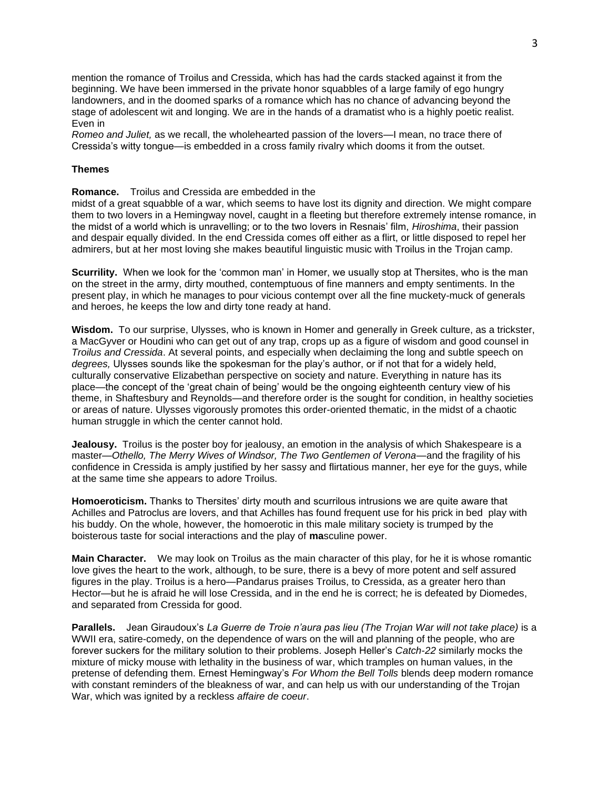mention the romance of Troilus and Cressida, which has had the cards stacked against it from the beginning. We have been immersed in the private honor squabbles of a large family of ego hungry landowners, and in the doomed sparks of a romance which has no chance of advancing beyond the stage of adolescent wit and longing. We are in the hands of a dramatist who is a highly poetic realist. Even in

*Romeo and Juliet,* as we recall, the wholehearted passion of the lovers—I mean, no trace there of Cressida's witty tongue—is embedded in a cross family rivalry which dooms it from the outset.

## **Themes**

**Romance.** Troilus and Cressida are embedded in the

midst of a great squabble of a war, which seems to have lost its dignity and direction. We might compare them to two lovers in a Hemingway novel, caught in a fleeting but therefore extremely intense romance, in the midst of a world which is unravelling; or to the two lovers in Resnais' film, *Hiroshima*, their passion and despair equally divided. In the end Cressida comes off either as a flirt, or little disposed to repel her admirers, but at her most loving she makes beautiful linguistic music with Troilus in the Trojan camp.

**Scurrility.** When we look for the 'common man' in Homer, we usually stop at Thersites, who is the man on the street in the army, dirty mouthed, contemptuous of fine manners and empty sentiments. In the present play, in which he manages to pour vicious contempt over all the fine muckety-muck of generals and heroes, he keeps the low and dirty tone ready at hand.

**Wisdom.** To our surprise, Ulysses, who is known in Homer and generally in Greek culture, as a trickster, a MacGyver or Houdini who can get out of any trap, crops up as a figure of wisdom and good counsel in *Troilus and Cressida*. At several points, and especially when declaiming the long and subtle speech on *degrees,* Ulysses sounds like the spokesman for the play's author, or if not that for a widely held, culturally conservative Elizabethan perspective on society and nature. Everything in nature has its place—the concept of the 'great chain of being' would be the ongoing eighteenth century view of his theme, in Shaftesbury and Reynolds—and therefore order is the sought for condition, in healthy societies or areas of nature. Ulysses vigorously promotes this order-oriented thematic, in the midst of a chaotic human struggle in which the center cannot hold.

**Jealousy.** Troilus is the poster boy for jealousy, an emotion in the analysis of which Shakespeare is a master—*Othello, The Merry Wives of Windsor, The Two Gentlemen of Verona*—and the fragility of his confidence in Cressida is amply justified by her sassy and flirtatious manner, her eye for the guys, while at the same time she appears to adore Troilus.

**Homoeroticism.** Thanks to Thersites' dirty mouth and scurrilous intrusions we are quite aware that Achilles and Patroclus are lovers, and that Achilles has found frequent use for his prick in bed play with his buddy. On the whole, however, the homoerotic in this male military society is trumped by the boisterous taste for social interactions and the play of **ma**sculine power.

**Main Character.** We may look on Troilus as the main character of this play, for he it is whose romantic love gives the heart to the work, although, to be sure, there is a bevy of more potent and self assured figures in the play. Troilus is a hero—Pandarus praises Troilus, to Cressida, as a greater hero than Hector—but he is afraid he will lose Cressida, and in the end he is correct; he is defeated by Diomedes, and separated from Cressida for good.

**Parallels.** Jean Giraudoux's *La Guerre de Troie n'aura pas lieu (The Trojan War will not take place)* is a WWII era, satire-comedy, on the dependence of wars on the will and planning of the people, who are forever suckers for the military solution to their problems. Joseph Heller's *Catch-22* similarly mocks the mixture of micky mouse with lethality in the business of war, which tramples on human values, in the pretense of defending them. Ernest Hemingway's *For Whom the Bell Tolls* blends deep modern romance with constant reminders of the bleakness of war, and can help us with our understanding of the Trojan War, which was ignited by a reckless *affaire de coeur*.